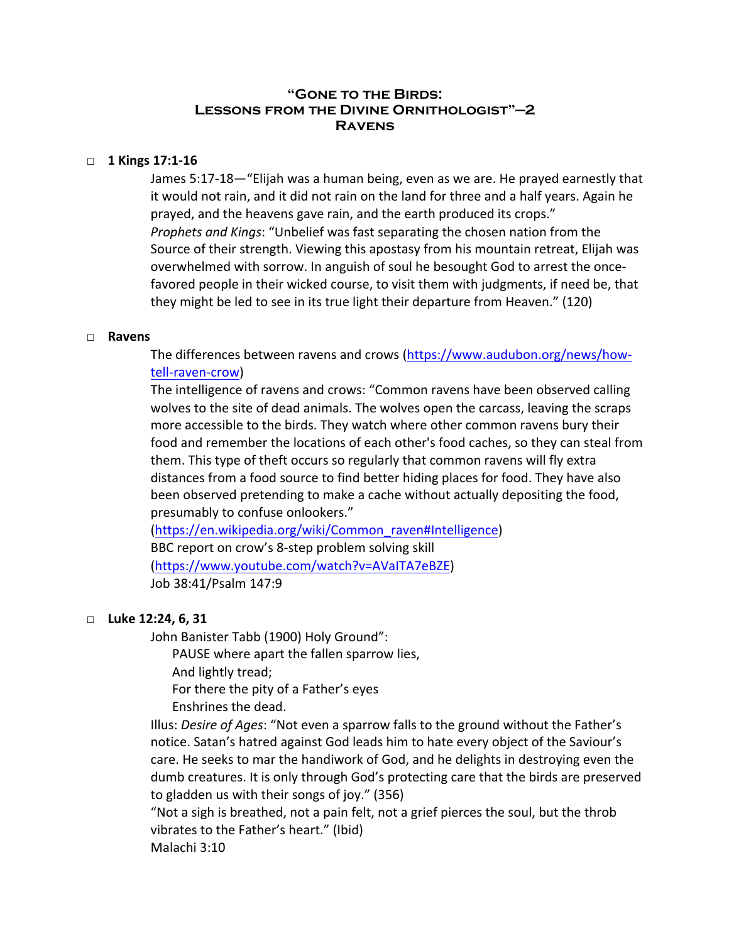# **"Gone to the Birds: Lessons from the Divine Ornithologist"—2 Ravens**

## □ 1 Kings 17:1-16

James 5:17-18—"Elijah was a human being, even as we are. He prayed earnestly that it would not rain, and it did not rain on the land for three and a half years. Again he prayed, and the heavens gave rain, and the earth produced its crops." *Prophets and Kings*: "Unbelief was fast separating the chosen nation from the Source of their strength. Viewing this apostasy from his mountain retreat, Elijah was overwhelmed with sorrow. In anguish of soul he besought God to arrest the oncefavored people in their wicked course, to visit them with judgments, if need be, that they might be led to see in its true light their departure from Heaven." (120)

#### □ **Ravens**

The differences between ravens and crows [\(https://www.audubon.org/news/how](https://www.audubon.org/news/how-tell-raven-crow)[tell-raven-crow](https://www.audubon.org/news/how-tell-raven-crow))

The intelligence of ravens and crows: "Common ravens have been observed calling wolves to the site of dead animals. The wolves open the carcass, leaving the scraps more accessible to the birds. They watch where other common ravens bury their food and remember the locations of each other's food caches, so they can steal from them. This type of theft occurs so regularly that common ravens will fly extra distances from a food source to find better hiding places for food. They have also been observed pretending to make a cache without actually depositing the food, presumably to confuse onlookers."

[\(https://en.wikipedia.org/wiki/Common\\_raven#Intelligence](https://en.wikipedia.org/wiki/Common_raven#Intelligence)) BBC report on crow's 8-step problem solving skill [\(https://www.youtube.com/watch?v=AVaITA7eBZE](https://www.youtube.com/watch?v=AVaITA7eBZE)) Job 38:41/Psalm 147:9

### □ **Luke 12:24, 6, 31**

John Banister Tabb (1900) Holy Ground":

PAUSE where apart the fallen sparrow lies,

And lightly tread;

For there the pity of a Father's eyes

Enshrines the dead.

Illus: *Desire of Ages*: "Not even a sparrow falls to the ground without the Father's notice. Satan's hatred against God leads him to hate every object of the Saviour's care. He seeks to mar the handiwork of God, and he delights in destroying even the dumb creatures. It is only through God's protecting care that the birds are preserved to gladden us with their songs of joy." (356)

"Not a sigh is breathed, not a pain felt, not a grief pierces the soul, but the throb vibrates to the Father's heart." (Ibid) Malachi 3:10